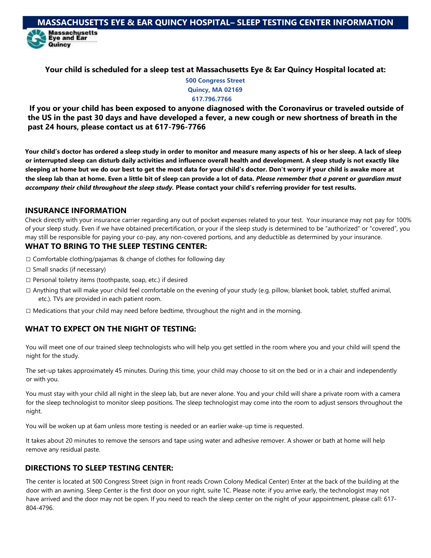**Your child is scheduled for a sleep test at Massachusetts Eye & Ear Quincy Hospital located at:**

**500 Congress Street Quincy, MA 02169 617.796.7766**

**If you or your child has been exposed to anyone diagnosed with the Coronavirus or traveled outside of the US in the past 30 days and have developed a fever, a new cough or new shortness of breath in the past 24 hours, please contact us at 617-796-7766**

**Your child's doctor has ordered a sleep study in order to monitor and measure many aspects of his or her sleep. A lack of sleep or interrupted sleep can disturb daily activities and influence overall health and development. A sleep study is not exactly like sleeping at home but we do our best to get the most data for your child's doctor. Don't worry if your child is awake more at the sleep lab than at home. Even a little bit of sleep can provide a lot of data.** *Please remember that a parent or guardian must accompany their child throughout the sleep study.* **Please contact your child's referring provider for test results.**

### **INSURANCE INFORMATION**

Quincy

Check directly with your insurance carrier regarding any out of pocket expenses related to your test. Your insurance may not pay for 100% of your sleep study. Even if we have obtained precertification, or your if the sleep study is determined to be "authorized" or "covered", you may still be responsible for paying your co-pay, any non-covered portions, and any deductible as determined by your insurance.

## **WHAT TO BRING TO THE SLEEP TESTING CENTER:**

- $\square$  Comfortable clothing/pajamas & change of clothes for following day
- $\square$  Small snacks (if necessary)
- $\square$  Personal toiletry items (toothpaste, soap, etc.) if desired
- $\Box$  Anything that will make your child feel comfortable on the evening of your study (e.g. pillow, blanket book, tablet, stuffed animal, etc.). TVs are provided in each patient room.
- $\square$  Medications that your child may need before bedtime, throughout the night and in the morning.

# **WHAT TO EXPECT ON THE NIGHT OF TESTING:**

You will meet one of our trained sleep technologists who will help you get settled in the room where you and your child will spend the night for the study.

The set-up takes approximately 45 minutes. During this time, your child may choose to sit on the bed or in a chair and independently or with you.

You must stay with your child all night in the sleep lab, but are never alone. You and your child will share a private room with a camera for the sleep technologist to monitor sleep positions. The sleep technologist may come into the room to adjust sensors throughout the night.

You will be woken up at 6am unless more testing is needed or an earlier wake-up time is requested.

It takes about 20 minutes to remove the sensors and tape using water and adhesive remover. A shower or bath at home will help remove any residual paste.

## **DIRECTIONS TO SLEEP TESTING CENTER:**

The center is located at 500 Congress Street (sign in front reads Crown Colony Medical Center) Enter at the back of the building at the door with an awning. Sleep Center is the first door on your right, suite 1C. Please note: if you arrive early, the technologist may not have arrived and the door may not be open. If you need to reach the sleep center on the night of your appointment, please call: 617- 804-4796.